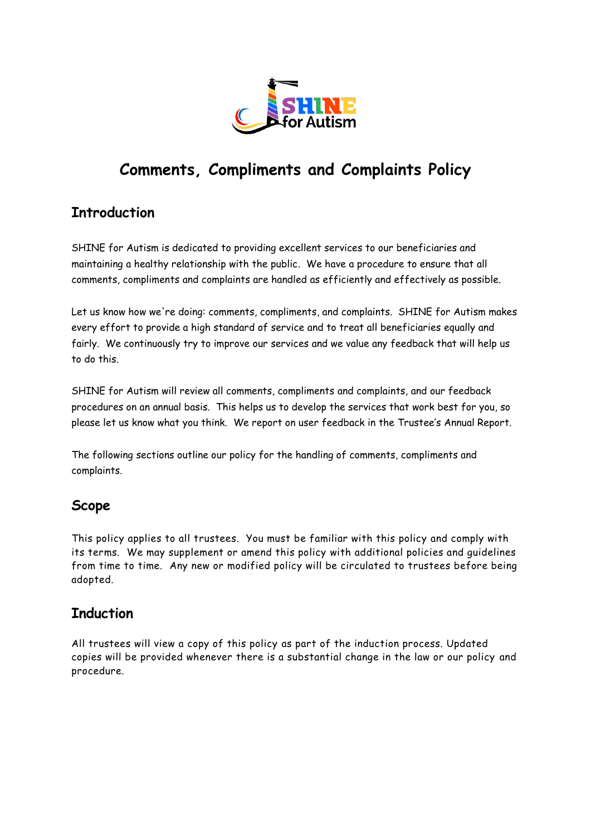

# **Comments, Compliments and Complaints Policy**

## **Introduction**

SHINE for Autism is dedicated to providing excellent services to our beneficiaries and maintaining a healthy relationship with the public. We have a procedure to ensure that all comments, compliments and complaints are handled as efficiently and effectively as possible.

Let us know how we're doing: comments, compliments, and complaints. SHINE for Autism makes every effort to provide a high standard of service and to treat all beneficiaries equally and fairly. We continuously try to improve our services and we value any feedback that will help us to do this.

SHINE for Autism will review all comments, compliments and complaints, and our feedback procedures on an annual basis. This helps us to develop the services that work best for you, so please let us know what you think. We report on user feedback in the Trustee's Annual Report.

The following sections outline our policy for the handling of comments, compliments and complaints.

## **Scope**

This policy applies to all trustees. You must be familiar with this policy and comply with its terms. We may supplement or amend this policy with additional policies and guidelines from time to time. Any new or modified policy will be circulated to trustees before being adopted.

#### **Induction**

All trustees will view a copy of this policy as part of the induction process. Updated copies will be provided whenever there is a substantial change in the law or our policy and procedure.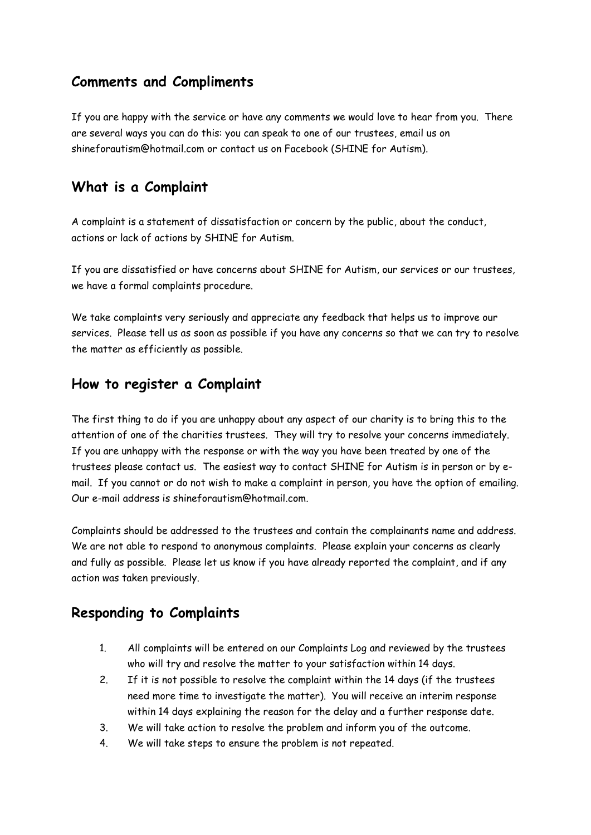#### **Comments and Compliments**

If you are happy with the service or have any comments we would love to hear from you. There are several ways you can do this: you can speak to one of our trustees, email us on shineforautism@hotmail.com or contact us on Facebook (SHINE for Autism).

## **What is a Complaint**

A complaint is a statement of dissatisfaction or concern by the public, about the conduct, actions or lack of actions by SHINE for Autism.

If you are dissatisfied or have concerns about SHINE for Autism, our services or our trustees, we have a formal complaints procedure.

We take complaints very seriously and appreciate any feedback that helps us to improve our services. Please tell us as soon as possible if you have any concerns so that we can try to resolve the matter as efficiently as possible.

#### **How to register a Complaint**

The first thing to do if you are unhappy about any aspect of our charity is to bring this to the attention of one of the charities trustees. They will try to resolve your concerns immediately. If you are unhappy with the response or with the way you have been treated by one of the trustees please contact us. The easiest way to contact SHINE for Autism is in person or by email. If you cannot or do not wish to make a complaint in person, you have the option of emailing. Our e-mail address is [shineforautism@hotmail.com.](mailto:shineforautism@hotmail.com) 

Complaints should be addressed to the trustees and contain the complainants name and address. We are not able to respond to anonymous complaints. Please explain your concerns as clearly and fully as possible. Please let us know if you have already reported the complaint, and if any action was taken previously.

## **Responding to Complaints**

- 1. All complaints will be entered on our Complaints Log and reviewed by the trustees who will try and resolve the matter to your satisfaction within 14 days.
- 2. If it is not possible to resolve the complaint within the 14 days (if the trustees need more time to investigate the matter). You will receive an interim response within 14 days explaining the reason for the delay and a further response date.
- 3. We will take action to resolve the problem and inform you of the outcome.
- 4. We will take steps to ensure the problem is not repeated.